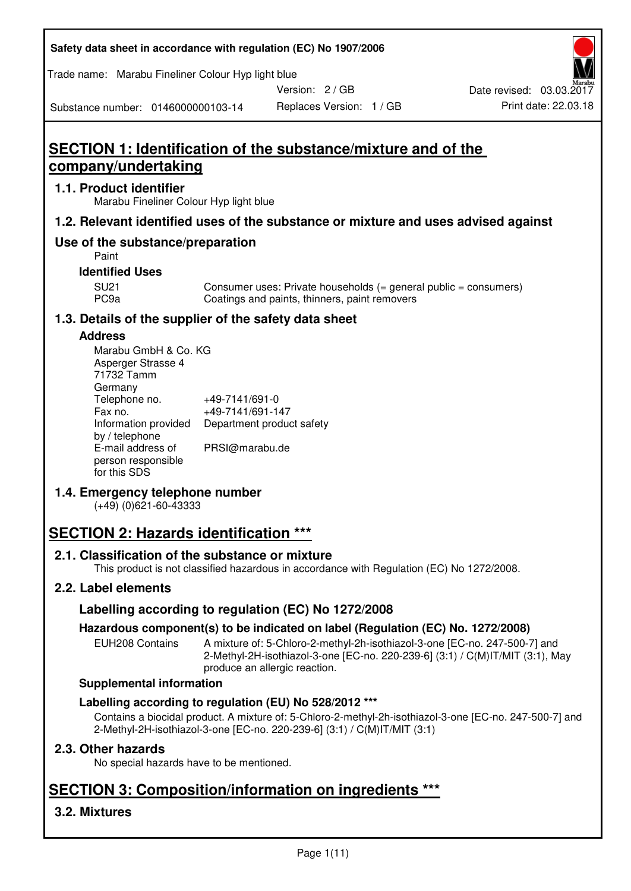| Safety data sheet in accordance with regulation (EC) No 1907/2006 |  |
|-------------------------------------------------------------------|--|
|-------------------------------------------------------------------|--|

Trade name: Marabu Fineliner Colour Hyp light blue

Version: 2 / GB

Replaces Version: 1 / GB Print date: 22.03.18 Date revised: 03.03.2017

Substance number: 0146000000103-14

# **SECTION 1: Identification of the substance/mixture and of the company/undertaking**

## **1.1. Product identifier**

Marabu Fineliner Colour Hyp light blue

## **1.2. Relevant identified uses of the substance or mixture and uses advised against**

## **Use of the substance/preparation**

Paint

## **Identified Uses**

SU21 Consumer uses: Private households (= general public = consumers)<br>PC9a Coatings and paints, thinners, paint removers Coatings and paints, thinners, paint removers

## **1.3. Details of the supplier of the safety data sheet**

## **Address**

| Marabu GmbH & Co. KG |                           |
|----------------------|---------------------------|
| Asperger Strasse 4   |                           |
| 71732 Tamm           |                           |
| Germany              |                           |
| Telephone no.        | +49-7141/691-0            |
| Fax no.              | +49-7141/691-147          |
| Information provided | Department product safety |
| by / telephone       |                           |
| E-mail address of    | PRSI@marabu.de            |
| person responsible   |                           |
| for this SDS         |                           |

## **1.4. Emergency telephone number**

(+49) (0)621-60-43333

# **SECTION 2: Hazards identification \*\*\***

## **2.1. Classification of the substance or mixture**

This product is not classified hazardous in accordance with Regulation (EC) No 1272/2008.

## **2.2. Label elements**

## **Labelling according to regulation (EC) No 1272/2008**

## **Hazardous component(s) to be indicated on label (Regulation (EC) No. 1272/2008)**

EUH208 Contains A mixture of: 5-Chloro-2-methyl-2h-isothiazol-3-one [EC-no. 247-500-7] and 2-Methyl-2H-isothiazol-3-one [EC-no. 220-239-6] (3:1) / C(M)IT/MIT (3:1), May produce an allergic reaction.

#### **Supplemental information**

## **Labelling according to regulation (EU) No 528/2012 \*\*\***

Contains a biocidal product. A mixture of: 5-Chloro-2-methyl-2h-isothiazol-3-one [EC-no. 247-500-7] and 2-Methyl-2H-isothiazol-3-one [EC-no. 220-239-6] (3:1) / C(M)IT/MIT (3:1)

## **2.3. Other hazards**

No special hazards have to be mentioned.

# **SECTION 3: Composition/information on ingredients \*\*\***

## **3.2. Mixtures**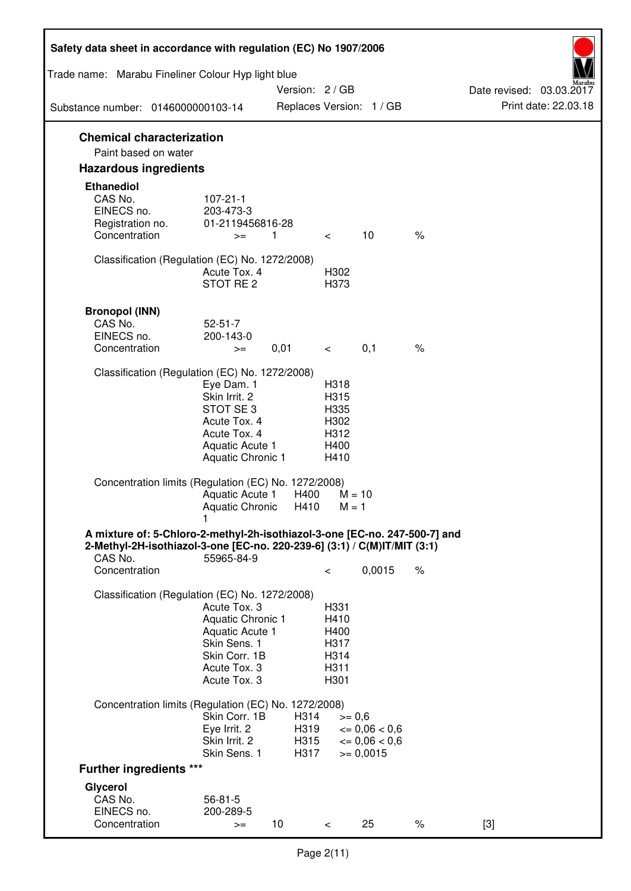| Safety data sheet in accordance with regulation (EC) No 1907/2006                                                                                                 |                                                                                                                       |                              |                                                      |                                                             |      |                          |
|-------------------------------------------------------------------------------------------------------------------------------------------------------------------|-----------------------------------------------------------------------------------------------------------------------|------------------------------|------------------------------------------------------|-------------------------------------------------------------|------|--------------------------|
| Trade name: Marabu Fineliner Colour Hyp light blue                                                                                                                |                                                                                                                       | Version: 2 / GB              |                                                      |                                                             |      | Date revised: 03.03.2017 |
| Substance number: 0146000000103-14                                                                                                                                |                                                                                                                       |                              |                                                      | Replaces Version: 1 / GB                                    |      | Print date: 22.03.18     |
| <b>Chemical characterization</b><br>Paint based on water                                                                                                          |                                                                                                                       |                              |                                                      |                                                             |      |                          |
| <b>Hazardous ingredients</b>                                                                                                                                      |                                                                                                                       |                              |                                                      |                                                             |      |                          |
| <b>Ethanediol</b><br>CAS No.<br>EINECS no.<br>Registration no.<br>Concentration                                                                                   | $107 - 21 - 1$<br>203-473-3<br>01-2119456816-28<br>$>=$                                                               | $\overline{1}$               | $\lt$                                                | 10                                                          | $\%$ |                          |
| Classification (Regulation (EC) No. 1272/2008)                                                                                                                    | Acute Tox. 4<br>STOT RE <sub>2</sub>                                                                                  |                              | H302<br>H373                                         |                                                             |      |                          |
| <b>Bronopol (INN)</b><br>CAS No.<br>EINECS no.<br>Concentration                                                                                                   | $52 - 51 - 7$<br>200-143-0<br>$>=$                                                                                    | 0,01                         | $\overline{\phantom{0}}$                             | 0,1                                                         | $\%$ |                          |
| Classification (Regulation (EC) No. 1272/2008)                                                                                                                    | Eye Dam. 1<br>Skin Irrit. 2<br>STOT SE3<br>Acute Tox. 4<br>Acute Tox. 4<br>Aquatic Acute 1<br>Aquatic Chronic 1       |                              | H318<br>H315<br>H335<br>H302<br>H312<br>H400<br>H410 |                                                             |      |                          |
| Concentration limits (Regulation (EC) No. 1272/2008)                                                                                                              | Aquatic Acute 1<br><b>Aquatic Chronic</b>                                                                             | H400<br>H410                 | $M = 1$                                              | $M = 10$                                                    |      |                          |
| A mixture of: 5-Chloro-2-methyl-2h-isothiazol-3-one [EC-no. 247-500-7] and<br>2-Methyl-2H-isothiazol-3-one [EC-no. 220-239-6] (3:1) / C(M)IT/MIT (3:1)<br>CAS No. | 55965-84-9                                                                                                            |                              |                                                      |                                                             |      |                          |
| Concentration                                                                                                                                                     |                                                                                                                       |                              | $\,<\,$                                              | 0,0015                                                      | $\%$ |                          |
| Classification (Regulation (EC) No. 1272/2008)                                                                                                                    | Acute Tox, 3<br>Aquatic Chronic 1<br>Aquatic Acute 1<br>Skin Sens. 1<br>Skin Corr. 1B<br>Acute Tox. 3<br>Acute Tox. 3 |                              | H331<br>H410<br>H400<br>H317<br>H314<br>H311<br>H301 |                                                             |      |                          |
| Concentration limits (Regulation (EC) No. 1272/2008)                                                                                                              | Skin Corr. 1B<br>Eye Irrit. 2<br>Skin Irrit. 2<br>Skin Sens. 1                                                        | H314<br>H319<br>H315<br>H317 | $>= 0,6$                                             | $\epsilon = 0.06 < 0.6$<br>$\leq 0.06 < 0.6$<br>$>= 0,0015$ |      |                          |
| <b>Further ingredients ***</b>                                                                                                                                    |                                                                                                                       |                              |                                                      |                                                             |      |                          |
| Glycerol                                                                                                                                                          |                                                                                                                       |                              |                                                      |                                                             |      |                          |
| CAS No.<br>EINECS no.<br>Concentration                                                                                                                            | $56 - 81 - 5$<br>200-289-5<br>$>=$                                                                                    | 10                           | $\lt$                                                | 25                                                          | $\%$ | $[3]$                    |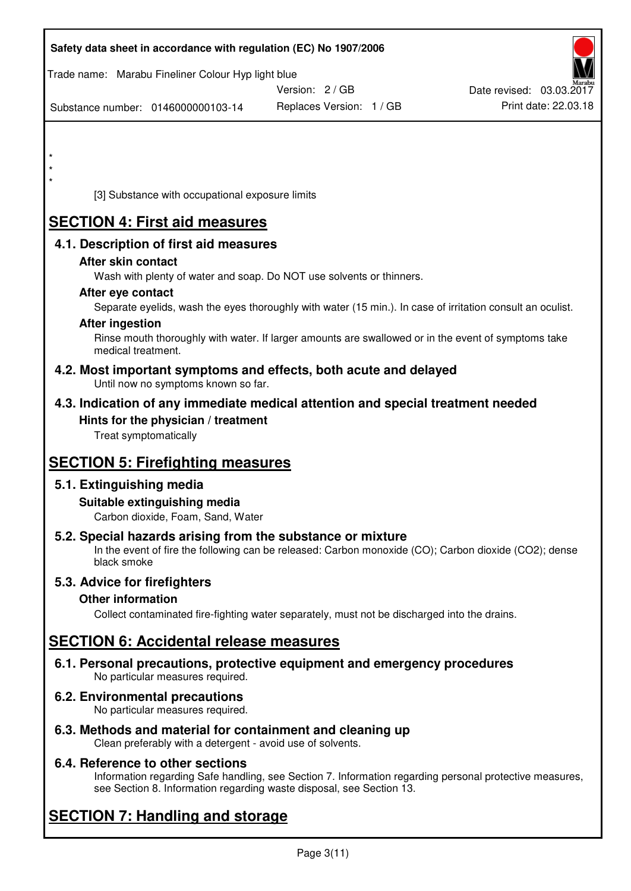| Safety data sheet in accordance with regulation (EC) No 1907/2006                                            |                                                                                                            |                          |
|--------------------------------------------------------------------------------------------------------------|------------------------------------------------------------------------------------------------------------|--------------------------|
| Trade name: Marabu Fineliner Colour Hyp light blue                                                           | Version: 2 / GB                                                                                            | Date revised: 03.03.2017 |
| Substance number: 0146000000103-14                                                                           | Replaces Version: 1 / GB                                                                                   | Print date: 22.03.18     |
|                                                                                                              |                                                                                                            |                          |
| $\star$                                                                                                      |                                                                                                            |                          |
|                                                                                                              |                                                                                                            |                          |
| [3] Substance with occupational exposure limits                                                              |                                                                                                            |                          |
| <b>SECTION 4: First aid measures</b>                                                                         |                                                                                                            |                          |
| 4.1. Description of first aid measures                                                                       |                                                                                                            |                          |
| After skin contact                                                                                           |                                                                                                            |                          |
| Wash with plenty of water and soap. Do NOT use solvents or thinners.<br>After eye contact                    |                                                                                                            |                          |
|                                                                                                              | Separate eyelids, wash the eyes thoroughly with water (15 min.). In case of irritation consult an oculist. |                          |
| <b>After ingestion</b>                                                                                       | Rinse mouth thoroughly with water. If larger amounts are swallowed or in the event of symptoms take        |                          |
| medical treatment.                                                                                           |                                                                                                            |                          |
| 4.2. Most important symptoms and effects, both acute and delayed<br>Until now no symptoms known so far.      |                                                                                                            |                          |
| 4.3. Indication of any immediate medical attention and special treatment needed                              |                                                                                                            |                          |
| Hints for the physician / treatment<br>Treat symptomatically                                                 |                                                                                                            |                          |
|                                                                                                              |                                                                                                            |                          |
| <b>SECTION 5: Firefighting measures</b>                                                                      |                                                                                                            |                          |
| 5.1. Extinguishing media                                                                                     |                                                                                                            |                          |
| Suitable extinguishing media<br>Carbon dioxide, Foam, Sand, Water                                            |                                                                                                            |                          |
| 5.2. Special hazards arising from the substance or mixture<br>black smoke                                    | In the event of fire the following can be released: Carbon monoxide (CO); Carbon dioxide (CO2); dense      |                          |
| 5.3. Advice for firefighters                                                                                 |                                                                                                            |                          |
| <b>Other information</b>                                                                                     |                                                                                                            |                          |
|                                                                                                              | Collect contaminated fire-fighting water separately, must not be discharged into the drains.               |                          |
| <b>SECTION 6: Accidental release measures</b>                                                                |                                                                                                            |                          |
| 6.1. Personal precautions, protective equipment and emergency procedures<br>No particular measures required. |                                                                                                            |                          |
| 6.2. Environmental precautions<br>No particular measures required.                                           |                                                                                                            |                          |
| 6.3. Methods and material for containment and cleaning up                                                    |                                                                                                            |                          |

Clean preferably with a detergent - avoid use of solvents.

## **6.4. Reference to other sections**

Information regarding Safe handling, see Section 7. Information regarding personal protective measures, see Section 8. Information regarding waste disposal, see Section 13.

# **SECTION 7: Handling and storage**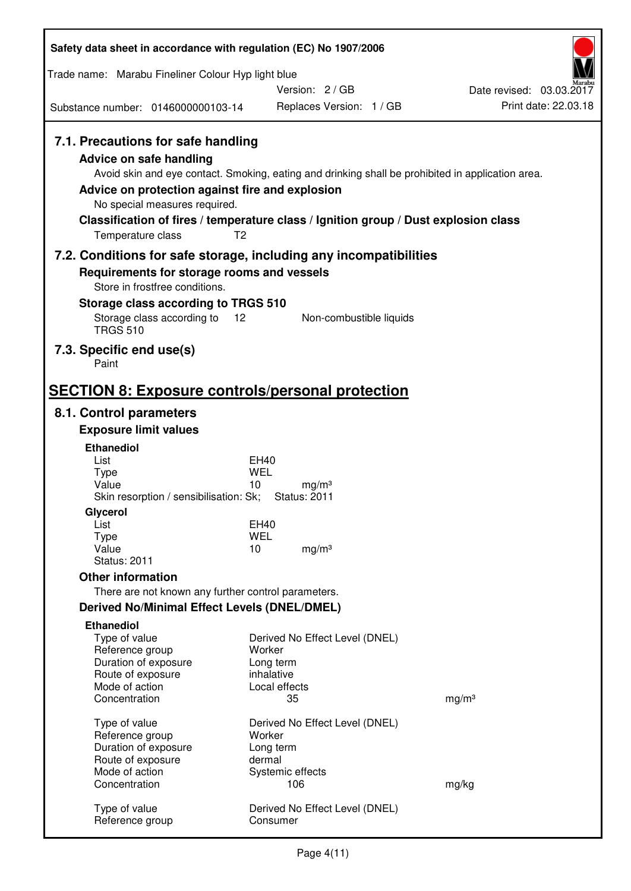| Safety data sheet in accordance with regulation (EC) No 1907/2006                                                                                                                                                                                                    |                                   |                                |                                                                                                   |
|----------------------------------------------------------------------------------------------------------------------------------------------------------------------------------------------------------------------------------------------------------------------|-----------------------------------|--------------------------------|---------------------------------------------------------------------------------------------------|
| Trade name: Marabu Fineliner Colour Hyp light blue                                                                                                                                                                                                                   |                                   |                                |                                                                                                   |
|                                                                                                                                                                                                                                                                      |                                   | Version: 2/GB                  | Date revised: 03.03.2017                                                                          |
| Substance number: 0146000000103-14                                                                                                                                                                                                                                   |                                   | Replaces Version: 1 / GB       | Print date: 22.03.18                                                                              |
| 7.1. Precautions for safe handling<br><b>Advice on safe handling</b><br>Advice on protection against fire and explosion<br>No special measures required.<br>Classification of fires / temperature class / Ignition group / Dust explosion class<br>Temperature class | T <sub>2</sub>                    |                                | Avoid skin and eye contact. Smoking, eating and drinking shall be prohibited in application area. |
| 7.2. Conditions for safe storage, including any incompatibilities                                                                                                                                                                                                    |                                   |                                |                                                                                                   |
| Requirements for storage rooms and vessels<br>Store in frostfree conditions.                                                                                                                                                                                         |                                   |                                |                                                                                                   |
| Storage class according to TRGS 510                                                                                                                                                                                                                                  |                                   |                                |                                                                                                   |
| Storage class according to<br><b>TRGS 510</b>                                                                                                                                                                                                                        | 12                                | Non-combustible liquids        |                                                                                                   |
| 7.3. Specific end use(s)<br>Paint                                                                                                                                                                                                                                    |                                   |                                |                                                                                                   |
| <b>SECTION 8: Exposure controls/personal protection</b>                                                                                                                                                                                                              |                                   |                                |                                                                                                   |
| 8.1. Control parameters                                                                                                                                                                                                                                              |                                   |                                |                                                                                                   |
| <b>Exposure limit values</b>                                                                                                                                                                                                                                         |                                   |                                |                                                                                                   |
| <b>Ethanediol</b><br>List                                                                                                                                                                                                                                            | <b>EH40</b>                       |                                |                                                                                                   |
| <b>Type</b>                                                                                                                                                                                                                                                          | WEL                               |                                |                                                                                                   |
| Value<br>Skin resorption / sensibilisation: Sk;                                                                                                                                                                                                                      | 10<br><b>Status: 2011</b>         | mg/m <sup>3</sup>              |                                                                                                   |
| Glycerol<br>List                                                                                                                                                                                                                                                     | EH40                              |                                |                                                                                                   |
| Type                                                                                                                                                                                                                                                                 | <b>WEL</b>                        |                                |                                                                                                   |
| Value<br><b>Status: 2011</b>                                                                                                                                                                                                                                         | 10                                | mg/m <sup>3</sup>              |                                                                                                   |
| <b>Other information</b>                                                                                                                                                                                                                                             |                                   |                                |                                                                                                   |
| There are not known any further control parameters.                                                                                                                                                                                                                  |                                   |                                |                                                                                                   |
| <b>Derived No/Minimal Effect Levels (DNEL/DMEL)</b>                                                                                                                                                                                                                  |                                   |                                |                                                                                                   |
| <b>Ethanediol</b><br>Type of value<br>Reference group<br>Duration of exposure<br>Route of exposure                                                                                                                                                                   | Worker<br>Long term<br>inhalative | Derived No Effect Level (DNEL) |                                                                                                   |
| Mode of action<br>Concentration                                                                                                                                                                                                                                      | Local effects<br>35               |                                | mg/m <sup>3</sup>                                                                                 |
| Type of value<br>Reference group<br>Duration of exposure<br>Route of exposure                                                                                                                                                                                        | Worker<br>Long term<br>dermal     | Derived No Effect Level (DNEL) |                                                                                                   |
| Mode of action<br>Concentration                                                                                                                                                                                                                                      | Systemic effects<br>106           |                                | mg/kg                                                                                             |
| Type of value<br>Reference group                                                                                                                                                                                                                                     | Consumer                          | Derived No Effect Level (DNEL) |                                                                                                   |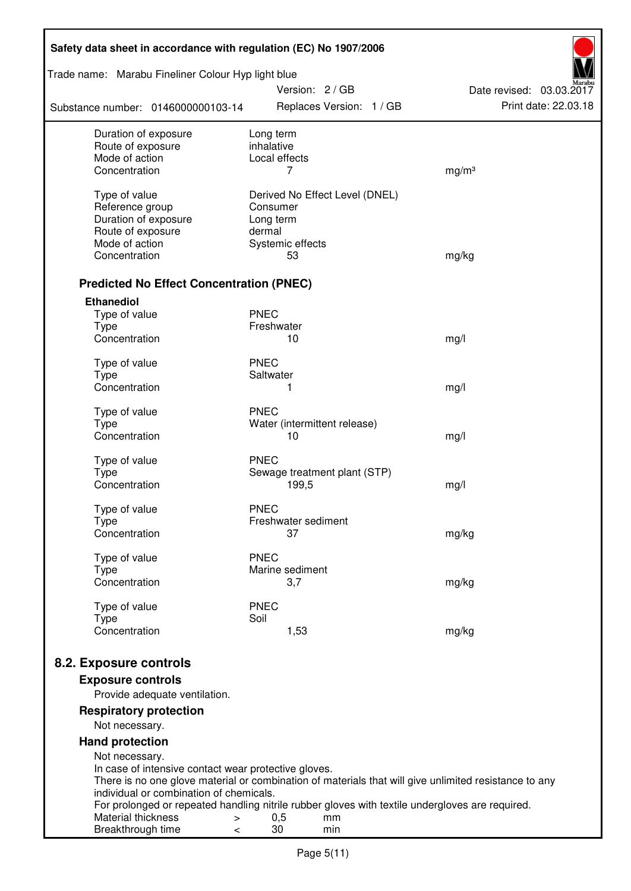| Safety data sheet in accordance with regulation (EC) No 1907/2006                                                                  |                         |                        |                                |                          |  |
|------------------------------------------------------------------------------------------------------------------------------------|-------------------------|------------------------|--------------------------------|--------------------------|--|
| Trade name: Marabu Fineliner Colour Hyp light blue                                                                                 |                         | Version: 2/GB          |                                | Date revised: 03.03.2017 |  |
| Substance number: 0146000000103-14                                                                                                 |                         |                        | Replaces Version: 1 / GB       | Print date: 22.03.18     |  |
| Duration of exposure<br>Route of exposure                                                                                          | Long term<br>inhalative |                        |                                |                          |  |
| Mode of action                                                                                                                     |                         | Local effects          |                                |                          |  |
| Concentration                                                                                                                      |                         | 7                      |                                | mg/m <sup>3</sup>        |  |
| Type of value                                                                                                                      |                         |                        | Derived No Effect Level (DNEL) |                          |  |
| Reference group                                                                                                                    | Consumer                |                        |                                |                          |  |
| Duration of exposure                                                                                                               | Long term               |                        |                                |                          |  |
| Route of exposure                                                                                                                  | dermal                  |                        |                                |                          |  |
| Mode of action                                                                                                                     |                         | Systemic effects       |                                |                          |  |
| Concentration                                                                                                                      |                         | 53                     |                                | mg/kg                    |  |
| <b>Predicted No Effect Concentration (PNEC)</b>                                                                                    |                         |                        |                                |                          |  |
| <b>Ethanediol</b>                                                                                                                  |                         |                        |                                |                          |  |
| Type of value                                                                                                                      | <b>PNEC</b>             |                        |                                |                          |  |
| <b>Type</b><br>Concentration                                                                                                       | Freshwater              | 10                     |                                |                          |  |
|                                                                                                                                    |                         |                        |                                | mg/l                     |  |
| Type of value                                                                                                                      | <b>PNEC</b>             |                        |                                |                          |  |
| <b>Type</b>                                                                                                                        | Saltwater               |                        |                                |                          |  |
| Concentration                                                                                                                      |                         | 1                      |                                | mg/l                     |  |
| Type of value                                                                                                                      | <b>PNEC</b>             |                        |                                |                          |  |
| <b>Type</b>                                                                                                                        |                         |                        | Water (intermittent release)   |                          |  |
| Concentration                                                                                                                      |                         | 10                     |                                | mg/l                     |  |
| Type of value                                                                                                                      | <b>PNEC</b>             |                        |                                |                          |  |
| <b>Type</b>                                                                                                                        |                         |                        | Sewage treatment plant (STP)   |                          |  |
| Concentration                                                                                                                      |                         | 199,5                  |                                | mg/l                     |  |
|                                                                                                                                    |                         |                        |                                |                          |  |
| Type of value                                                                                                                      | <b>PNEC</b>             | Freshwater sediment    |                                |                          |  |
| Type<br>Concentration                                                                                                              |                         | 37                     |                                | mg/kg                    |  |
|                                                                                                                                    |                         |                        |                                |                          |  |
| Type of value                                                                                                                      | <b>PNEC</b>             |                        |                                |                          |  |
| Type<br>Concentration                                                                                                              |                         | Marine sediment<br>3,7 |                                |                          |  |
|                                                                                                                                    |                         |                        |                                | mg/kg                    |  |
| Type of value                                                                                                                      | <b>PNEC</b>             |                        |                                |                          |  |
| <b>Type</b>                                                                                                                        | Soil                    |                        |                                |                          |  |
| Concentration                                                                                                                      |                         | 1,53                   |                                | mg/kg                    |  |
| 8.2. Exposure controls                                                                                                             |                         |                        |                                |                          |  |
|                                                                                                                                    |                         |                        |                                |                          |  |
| <b>Exposure controls</b><br>Provide adequate ventilation.                                                                          |                         |                        |                                |                          |  |
| <b>Respiratory protection</b>                                                                                                      |                         |                        |                                |                          |  |
| Not necessary.                                                                                                                     |                         |                        |                                |                          |  |
| <b>Hand protection</b>                                                                                                             |                         |                        |                                |                          |  |
| Not necessary.                                                                                                                     |                         |                        |                                |                          |  |
| In case of intensive contact wear protective gloves.                                                                               |                         |                        |                                |                          |  |
| There is no one glove material or combination of materials that will give unlimited resistance to any                              |                         |                        |                                |                          |  |
| individual or combination of chemicals.                                                                                            |                         |                        |                                |                          |  |
| For prolonged or repeated handling nitrile rubber gloves with textile undergloves are required.<br>Material thickness<br>$\, > \,$ |                         | 0,5                    | mm                             |                          |  |
| Breakthrough time<br>$\,<\,$                                                                                                       |                         | 30                     | min                            |                          |  |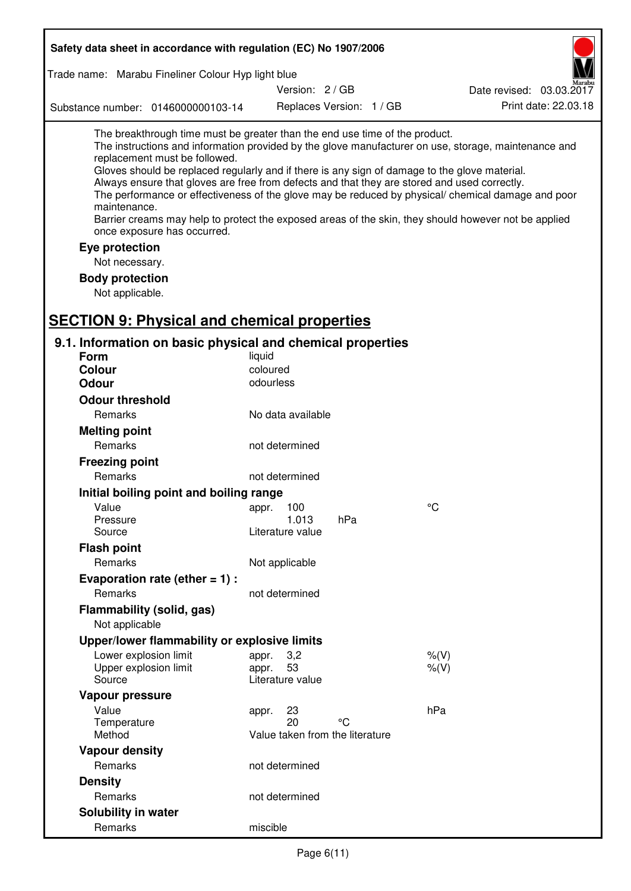| Safety data sheet in accordance with regulation (EC) No 1907/2006                                                                                                                                                                                                                                                                                                                                                                             |                                                      |                          |                                                                                                                                                                                                                                                                                                                    |
|-----------------------------------------------------------------------------------------------------------------------------------------------------------------------------------------------------------------------------------------------------------------------------------------------------------------------------------------------------------------------------------------------------------------------------------------------|------------------------------------------------------|--------------------------|--------------------------------------------------------------------------------------------------------------------------------------------------------------------------------------------------------------------------------------------------------------------------------------------------------------------|
| Trade name: Marabu Fineliner Colour Hyp light blue                                                                                                                                                                                                                                                                                                                                                                                            |                                                      |                          |                                                                                                                                                                                                                                                                                                                    |
|                                                                                                                                                                                                                                                                                                                                                                                                                                               | Version: 2 / GB                                      |                          | Date revised: 03.03.2017                                                                                                                                                                                                                                                                                           |
| Substance number: 0146000000103-14                                                                                                                                                                                                                                                                                                                                                                                                            |                                                      | Replaces Version: 1 / GB | Print date: 22.03.18                                                                                                                                                                                                                                                                                               |
| The breakthrough time must be greater than the end use time of the product.<br>replacement must be followed.<br>Gloves should be replaced regularly and if there is any sign of damage to the glove material.<br>Always ensure that gloves are free from defects and that they are stored and used correctly.<br>maintenance.<br>once exposure has occurred.<br>Eye protection<br>Not necessary.<br><b>Body protection</b><br>Not applicable. |                                                      |                          | The instructions and information provided by the glove manufacturer on use, storage, maintenance and<br>The performance or effectiveness of the glove may be reduced by physical/ chemical damage and poor<br>Barrier creams may help to protect the exposed areas of the skin, they should however not be applied |
| <b>SECTION 9: Physical and chemical properties</b>                                                                                                                                                                                                                                                                                                                                                                                            |                                                      |                          |                                                                                                                                                                                                                                                                                                                    |
| 9.1. Information on basic physical and chemical properties<br><b>Form</b>                                                                                                                                                                                                                                                                                                                                                                     | liquid                                               |                          |                                                                                                                                                                                                                                                                                                                    |
| <b>Colour</b>                                                                                                                                                                                                                                                                                                                                                                                                                                 | coloured                                             |                          |                                                                                                                                                                                                                                                                                                                    |
| <b>Odour</b>                                                                                                                                                                                                                                                                                                                                                                                                                                  | odourless                                            |                          |                                                                                                                                                                                                                                                                                                                    |
| <b>Odour threshold</b>                                                                                                                                                                                                                                                                                                                                                                                                                        |                                                      |                          |                                                                                                                                                                                                                                                                                                                    |
| <b>Remarks</b>                                                                                                                                                                                                                                                                                                                                                                                                                                | No data available                                    |                          |                                                                                                                                                                                                                                                                                                                    |
| <b>Melting point</b>                                                                                                                                                                                                                                                                                                                                                                                                                          |                                                      |                          |                                                                                                                                                                                                                                                                                                                    |
| Remarks                                                                                                                                                                                                                                                                                                                                                                                                                                       | not determined                                       |                          |                                                                                                                                                                                                                                                                                                                    |
| <b>Freezing point</b>                                                                                                                                                                                                                                                                                                                                                                                                                         |                                                      |                          |                                                                                                                                                                                                                                                                                                                    |
| Remarks                                                                                                                                                                                                                                                                                                                                                                                                                                       | not determined                                       |                          |                                                                                                                                                                                                                                                                                                                    |
| Initial boiling point and boiling range                                                                                                                                                                                                                                                                                                                                                                                                       |                                                      |                          |                                                                                                                                                                                                                                                                                                                    |
| Value                                                                                                                                                                                                                                                                                                                                                                                                                                         | 100<br>appr.                                         |                          | $\rm ^{\circ}C$                                                                                                                                                                                                                                                                                                    |
| Pressure                                                                                                                                                                                                                                                                                                                                                                                                                                      | 1.013                                                | hPa                      |                                                                                                                                                                                                                                                                                                                    |
| Source                                                                                                                                                                                                                                                                                                                                                                                                                                        | Literature value                                     |                          |                                                                                                                                                                                                                                                                                                                    |
| <b>Flash point</b>                                                                                                                                                                                                                                                                                                                                                                                                                            |                                                      |                          |                                                                                                                                                                                                                                                                                                                    |
| Remarks                                                                                                                                                                                                                                                                                                                                                                                                                                       | Not applicable                                       |                          |                                                                                                                                                                                                                                                                                                                    |
| Evaporation rate (ether $= 1$ ) :                                                                                                                                                                                                                                                                                                                                                                                                             |                                                      |                          |                                                                                                                                                                                                                                                                                                                    |
| Remarks                                                                                                                                                                                                                                                                                                                                                                                                                                       | not determined                                       |                          |                                                                                                                                                                                                                                                                                                                    |
| Flammability (solid, gas)<br>Not applicable                                                                                                                                                                                                                                                                                                                                                                                                   |                                                      |                          |                                                                                                                                                                                                                                                                                                                    |
| Upper/lower flammability or explosive limits                                                                                                                                                                                                                                                                                                                                                                                                  |                                                      |                          |                                                                                                                                                                                                                                                                                                                    |
| Lower explosion limit                                                                                                                                                                                                                                                                                                                                                                                                                         | 3,2<br>appr.                                         |                          | $%$ (V)                                                                                                                                                                                                                                                                                                            |
| Upper explosion limit                                                                                                                                                                                                                                                                                                                                                                                                                         | 53<br>appr.                                          |                          | $%$ (V)                                                                                                                                                                                                                                                                                                            |
| Source                                                                                                                                                                                                                                                                                                                                                                                                                                        | Literature value                                     |                          |                                                                                                                                                                                                                                                                                                                    |
| Vapour pressure                                                                                                                                                                                                                                                                                                                                                                                                                               |                                                      |                          |                                                                                                                                                                                                                                                                                                                    |
| Value<br>Temperature<br>Method                                                                                                                                                                                                                                                                                                                                                                                                                | 23<br>appr.<br>20<br>Value taken from the literature | °C                       | hPa                                                                                                                                                                                                                                                                                                                |
| <b>Vapour density</b>                                                                                                                                                                                                                                                                                                                                                                                                                         |                                                      |                          |                                                                                                                                                                                                                                                                                                                    |
| Remarks                                                                                                                                                                                                                                                                                                                                                                                                                                       | not determined                                       |                          |                                                                                                                                                                                                                                                                                                                    |
| <b>Density</b>                                                                                                                                                                                                                                                                                                                                                                                                                                |                                                      |                          |                                                                                                                                                                                                                                                                                                                    |
| Remarks                                                                                                                                                                                                                                                                                                                                                                                                                                       | not determined                                       |                          |                                                                                                                                                                                                                                                                                                                    |
| <b>Solubility in water</b>                                                                                                                                                                                                                                                                                                                                                                                                                    |                                                      |                          |                                                                                                                                                                                                                                                                                                                    |
| Remarks                                                                                                                                                                                                                                                                                                                                                                                                                                       | miscible                                             |                          |                                                                                                                                                                                                                                                                                                                    |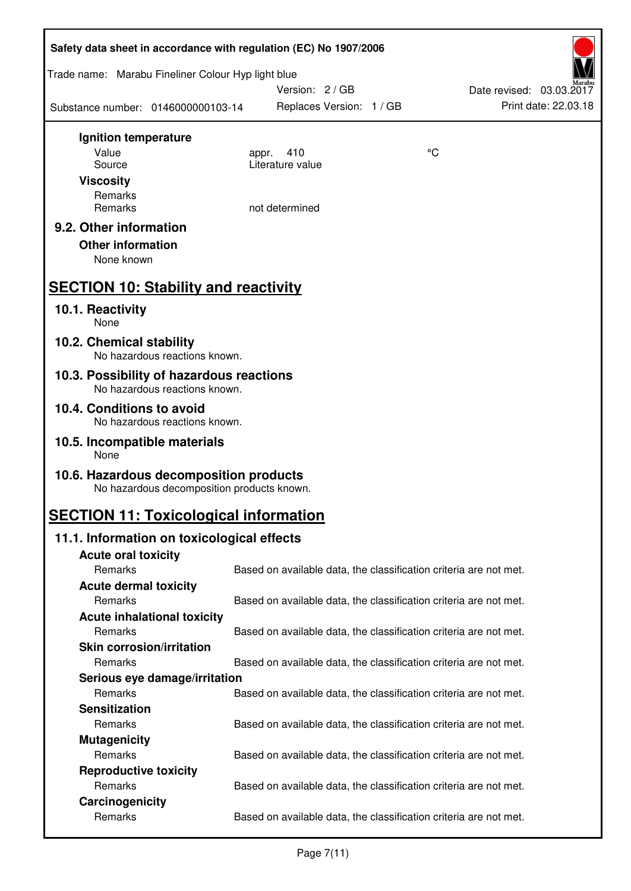| Safety data sheet in accordance with regulation (EC) No 1907/2006                    |                          |                                                                   |  |  |  |
|--------------------------------------------------------------------------------------|--------------------------|-------------------------------------------------------------------|--|--|--|
| Trade name: Marabu Fineliner Colour Hyp light blue                                   | Version: 2/GB            | Date revised: 03.03.2017                                          |  |  |  |
| Substance number: 0146000000103-14                                                   | Replaces Version: 1 / GB | Print date: 22.03.18                                              |  |  |  |
| Ignition temperature                                                                 |                          |                                                                   |  |  |  |
| Value                                                                                | 410<br>appr.             | °C                                                                |  |  |  |
| Source                                                                               | Literature value         |                                                                   |  |  |  |
| <b>Viscosity</b>                                                                     |                          |                                                                   |  |  |  |
| Remarks                                                                              |                          |                                                                   |  |  |  |
| Remarks                                                                              | not determined           |                                                                   |  |  |  |
| 9.2. Other information<br><b>Other information</b><br>None known                     |                          |                                                                   |  |  |  |
| <b>SECTION 10: Stability and reactivity</b>                                          |                          |                                                                   |  |  |  |
| 10.1. Reactivity<br>None                                                             |                          |                                                                   |  |  |  |
| 10.2. Chemical stability<br>No hazardous reactions known.                            |                          |                                                                   |  |  |  |
| 10.3. Possibility of hazardous reactions<br>No hazardous reactions known.            |                          |                                                                   |  |  |  |
| 10.4. Conditions to avoid<br>No hazardous reactions known.                           |                          |                                                                   |  |  |  |
| 10.5. Incompatible materials<br>None                                                 |                          |                                                                   |  |  |  |
| 10.6. Hazardous decomposition products<br>No hazardous decomposition products known. |                          |                                                                   |  |  |  |
| <b>SECTION 11: Toxicological information</b>                                         |                          |                                                                   |  |  |  |
| 11.1. Information on toxicological effects                                           |                          |                                                                   |  |  |  |
| <b>Acute oral toxicity</b>                                                           |                          |                                                                   |  |  |  |
| Remarks                                                                              |                          | Based on available data, the classification criteria are not met. |  |  |  |
| <b>Acute dermal toxicity</b>                                                         |                          |                                                                   |  |  |  |
| Remarks                                                                              |                          | Based on available data, the classification criteria are not met. |  |  |  |
| <b>Acute inhalational toxicity</b>                                                   |                          |                                                                   |  |  |  |
| Remarks                                                                              |                          | Based on available data, the classification criteria are not met. |  |  |  |
| <b>Skin corrosion/irritation</b>                                                     |                          |                                                                   |  |  |  |
| Remarks                                                                              |                          | Based on available data, the classification criteria are not met. |  |  |  |
| Serious eye damage/irritation                                                        |                          |                                                                   |  |  |  |
| Remarks                                                                              |                          | Based on available data, the classification criteria are not met. |  |  |  |
| <b>Sensitization</b>                                                                 |                          |                                                                   |  |  |  |
| Remarks                                                                              |                          | Based on available data, the classification criteria are not met. |  |  |  |
| <b>Mutagenicity</b>                                                                  |                          |                                                                   |  |  |  |
| Remarks                                                                              |                          | Based on available data, the classification criteria are not met. |  |  |  |
| <b>Reproductive toxicity</b>                                                         |                          |                                                                   |  |  |  |
| Remarks<br>Carcinogenicity                                                           |                          | Based on available data, the classification criteria are not met. |  |  |  |
| Remarks                                                                              |                          | Based on available data, the classification criteria are not met. |  |  |  |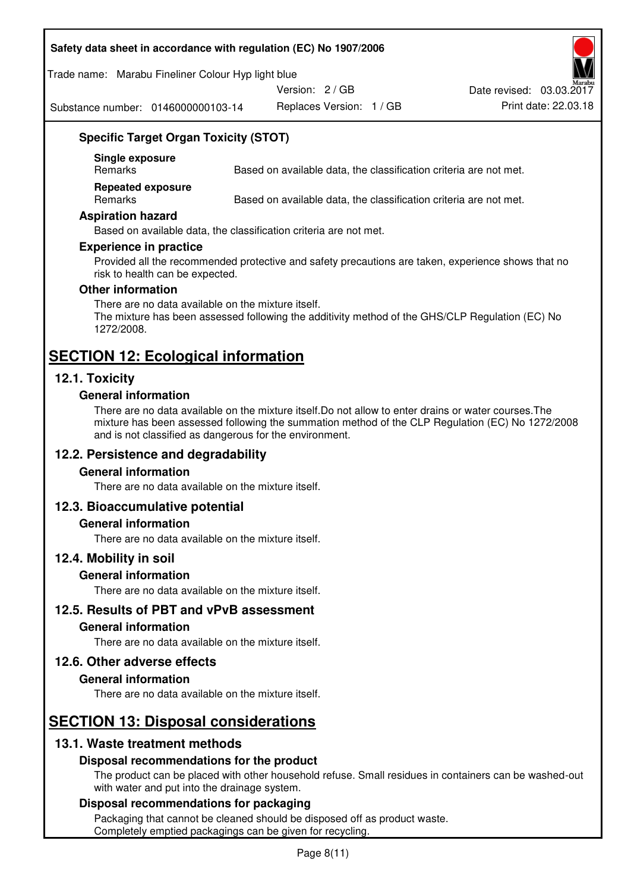#### **Safety data sheet in accordance with regulation (EC) No 1907/2006**

#### Trade name: Marabu Fineliner Colour Hyp light blue

Version: 2 / GB

Substance number: 0146000000103-14

Replaces Version: 1 / GB Print date: 22.03.18 Date revised: 03.03.2017

## **Specific Target Organ Toxicity (STOT)**

**Single exposure** 

Based on available data, the classification criteria are not met.

**Repeated exposure** 

Remarks Based on available data, the classification criteria are not met.

#### **Aspiration hazard**

Based on available data, the classification criteria are not met.

#### **Experience in practice**

Provided all the recommended protective and safety precautions are taken, experience shows that no risk to health can be expected.

#### **Other information**

There are no data available on the mixture itself. The mixture has been assessed following the additivity method of the GHS/CLP Regulation (EC) No 1272/2008.

# **SECTION 12: Ecological information**

## **12.1. Toxicity**

#### **General information**

There are no data available on the mixture itself.Do not allow to enter drains or water courses.The mixture has been assessed following the summation method of the CLP Regulation (EC) No 1272/2008 and is not classified as dangerous for the environment.

## **12.2. Persistence and degradability**

#### **General information**

There are no data available on the mixture itself.

#### **12.3. Bioaccumulative potential**

#### **General information**

There are no data available on the mixture itself.

#### **12.4. Mobility in soil**

#### **General information**

There are no data available on the mixture itself.

**12.5. Results of PBT and vPvB assessment** 

#### **General information**

There are no data available on the mixture itself.

#### **12.6. Other adverse effects**

#### **General information**

There are no data available on the mixture itself.

# **SECTION 13: Disposal considerations**

## **13.1. Waste treatment methods**

#### **Disposal recommendations for the product**

The product can be placed with other household refuse. Small residues in containers can be washed-out with water and put into the drainage system.

#### **Disposal recommendations for packaging**

Packaging that cannot be cleaned should be disposed off as product waste. Completely emptied packagings can be given for recycling.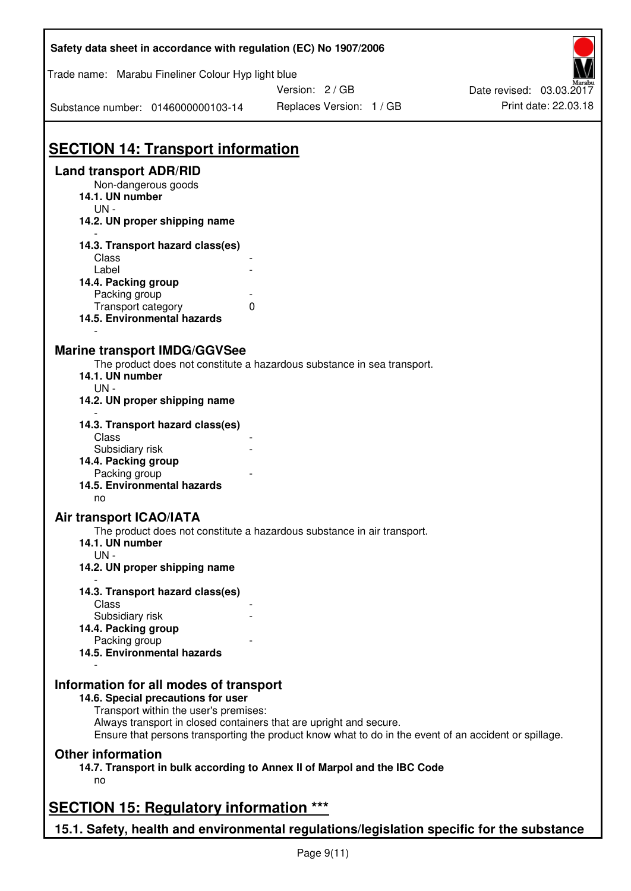| Safety data sheet in accordance with regulation (EC) No 1907/2006                         |                                                                                                       |                          |
|-------------------------------------------------------------------------------------------|-------------------------------------------------------------------------------------------------------|--------------------------|
| Trade name: Marabu Fineliner Colour Hyp light blue                                        |                                                                                                       |                          |
|                                                                                           | Version: 2/GB                                                                                         | Date revised: 03.03.2017 |
| Substance number: 0146000000103-14                                                        | Replaces Version: 1 / GB                                                                              | Print date: 22.03.18     |
|                                                                                           |                                                                                                       |                          |
| <b>SECTION 14: Transport information</b>                                                  |                                                                                                       |                          |
| <b>Land transport ADR/RID</b>                                                             |                                                                                                       |                          |
| Non-dangerous goods<br>14.1. UN number                                                    |                                                                                                       |                          |
| $UN -$<br>14.2. UN proper shipping name                                                   |                                                                                                       |                          |
| 14.3. Transport hazard class(es)                                                          |                                                                                                       |                          |
| Class                                                                                     |                                                                                                       |                          |
| Label                                                                                     |                                                                                                       |                          |
| 14.4. Packing group<br>Packing group                                                      |                                                                                                       |                          |
| Transport category                                                                        | 0                                                                                                     |                          |
| 14.5. Environmental hazards                                                               |                                                                                                       |                          |
| <b>Marine transport IMDG/GGVSee</b>                                                       |                                                                                                       |                          |
|                                                                                           | The product does not constitute a hazardous substance in sea transport.                               |                          |
| 14.1. UN number                                                                           |                                                                                                       |                          |
| UN-                                                                                       |                                                                                                       |                          |
| 14.2. UN proper shipping name                                                             |                                                                                                       |                          |
| 14.3. Transport hazard class(es)                                                          |                                                                                                       |                          |
| Class                                                                                     |                                                                                                       |                          |
| Subsidiary risk                                                                           |                                                                                                       |                          |
| 14.4. Packing group                                                                       |                                                                                                       |                          |
| Packing group                                                                             |                                                                                                       |                          |
| 14.5. Environmental hazards                                                               |                                                                                                       |                          |
| no                                                                                        |                                                                                                       |                          |
| Air transport ICAO/IATA                                                                   |                                                                                                       |                          |
| 14.1. UN number                                                                           | The product does not constitute a hazardous substance in air transport.                               |                          |
| $UN -$                                                                                    |                                                                                                       |                          |
| 14.2. UN proper shipping name                                                             |                                                                                                       |                          |
| 14.3. Transport hazard class(es)<br>Class                                                 |                                                                                                       |                          |
| Subsidiary risk                                                                           |                                                                                                       |                          |
| 14.4. Packing group                                                                       |                                                                                                       |                          |
| Packing group                                                                             |                                                                                                       |                          |
| 14.5. Environmental hazards                                                               |                                                                                                       |                          |
| Information for all modes of transport                                                    |                                                                                                       |                          |
| 14.6. Special precautions for user                                                        |                                                                                                       |                          |
| Transport within the user's premises:                                                     |                                                                                                       |                          |
| Always transport in closed containers that are upright and secure.                        | Ensure that persons transporting the product know what to do in the event of an accident or spillage. |                          |
| <b>Other information</b>                                                                  |                                                                                                       |                          |
|                                                                                           | 14.7. Transport in bulk according to Annex II of Marpol and the IBC Code                              |                          |
| no                                                                                        |                                                                                                       |                          |
| <b>SECTION 15: Regulatory information ***</b>                                             |                                                                                                       |                          |
|                                                                                           |                                                                                                       |                          |
| 15.1. Safety, health and environmental regulations/legislation specific for the substance |                                                                                                       |                          |

Page 9(11)

 $\overline{\phantom{a}}$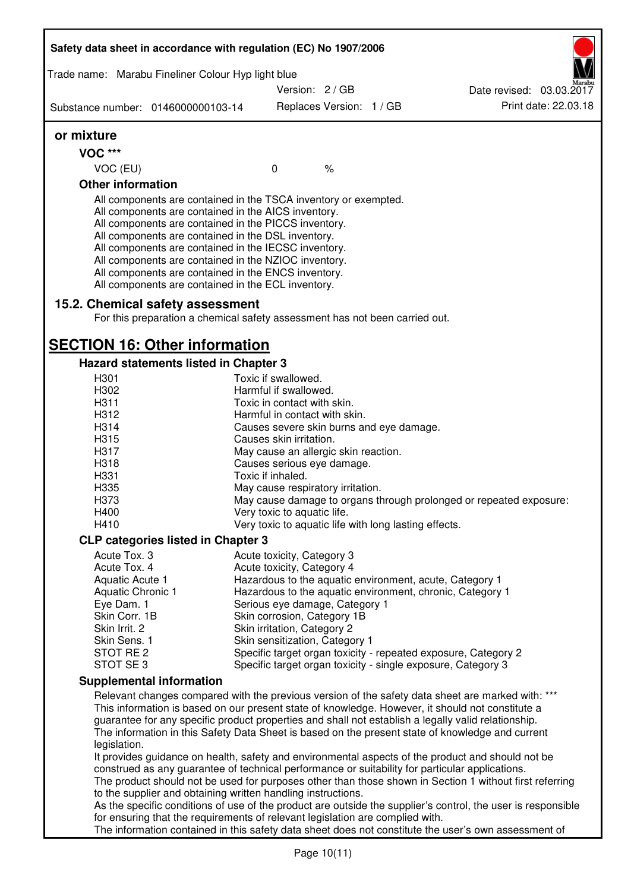| Trade name: Marabu Fineliner Colour Hyp light blue                                                                                                                                                                                                                                                                                                                                                                                                                |                                                       |                          |                                                                                                                                                                                                                                                                                                                                                                                                                  |
|-------------------------------------------------------------------------------------------------------------------------------------------------------------------------------------------------------------------------------------------------------------------------------------------------------------------------------------------------------------------------------------------------------------------------------------------------------------------|-------------------------------------------------------|--------------------------|------------------------------------------------------------------------------------------------------------------------------------------------------------------------------------------------------------------------------------------------------------------------------------------------------------------------------------------------------------------------------------------------------------------|
|                                                                                                                                                                                                                                                                                                                                                                                                                                                                   | Version: 2/GB                                         |                          | Date revised: 03.03.2017                                                                                                                                                                                                                                                                                                                                                                                         |
| Substance number: 0146000000103-14                                                                                                                                                                                                                                                                                                                                                                                                                                |                                                       | Replaces Version: 1 / GB | Print date: 22.03.18                                                                                                                                                                                                                                                                                                                                                                                             |
| or mixture                                                                                                                                                                                                                                                                                                                                                                                                                                                        |                                                       |                          |                                                                                                                                                                                                                                                                                                                                                                                                                  |
| <b>VOC ***</b>                                                                                                                                                                                                                                                                                                                                                                                                                                                    |                                                       |                          |                                                                                                                                                                                                                                                                                                                                                                                                                  |
| VOC (EU)                                                                                                                                                                                                                                                                                                                                                                                                                                                          | $\mathbf 0$                                           | $\%$                     |                                                                                                                                                                                                                                                                                                                                                                                                                  |
| <b>Other information</b>                                                                                                                                                                                                                                                                                                                                                                                                                                          |                                                       |                          |                                                                                                                                                                                                                                                                                                                                                                                                                  |
| All components are contained in the TSCA inventory or exempted.<br>All components are contained in the AICS inventory.<br>All components are contained in the PICCS inventory.<br>All components are contained in the DSL inventory.<br>All components are contained in the IECSC inventory.<br>All components are contained in the NZIOC inventory.<br>All components are contained in the ENCS inventory.<br>All components are contained in the ECL inventory. |                                                       |                          |                                                                                                                                                                                                                                                                                                                                                                                                                  |
| 15.2. Chemical safety assessment                                                                                                                                                                                                                                                                                                                                                                                                                                  |                                                       |                          |                                                                                                                                                                                                                                                                                                                                                                                                                  |
| For this preparation a chemical safety assessment has not been carried out.                                                                                                                                                                                                                                                                                                                                                                                       |                                                       |                          |                                                                                                                                                                                                                                                                                                                                                                                                                  |
| <b>SECTION 16: Other information</b>                                                                                                                                                                                                                                                                                                                                                                                                                              |                                                       |                          |                                                                                                                                                                                                                                                                                                                                                                                                                  |
| Hazard statements listed in Chapter 3                                                                                                                                                                                                                                                                                                                                                                                                                             |                                                       |                          |                                                                                                                                                                                                                                                                                                                                                                                                                  |
| H301                                                                                                                                                                                                                                                                                                                                                                                                                                                              | Toxic if swallowed.                                   |                          |                                                                                                                                                                                                                                                                                                                                                                                                                  |
| H302<br>H311                                                                                                                                                                                                                                                                                                                                                                                                                                                      | Harmful if swallowed.<br>Toxic in contact with skin.  |                          |                                                                                                                                                                                                                                                                                                                                                                                                                  |
| H312                                                                                                                                                                                                                                                                                                                                                                                                                                                              | Harmful in contact with skin.                         |                          |                                                                                                                                                                                                                                                                                                                                                                                                                  |
| H314                                                                                                                                                                                                                                                                                                                                                                                                                                                              | Causes severe skin burns and eye damage.              |                          |                                                                                                                                                                                                                                                                                                                                                                                                                  |
| H315                                                                                                                                                                                                                                                                                                                                                                                                                                                              | Causes skin irritation.                               |                          |                                                                                                                                                                                                                                                                                                                                                                                                                  |
| H317                                                                                                                                                                                                                                                                                                                                                                                                                                                              | May cause an allergic skin reaction.                  |                          |                                                                                                                                                                                                                                                                                                                                                                                                                  |
| H318                                                                                                                                                                                                                                                                                                                                                                                                                                                              | Causes serious eye damage.                            |                          |                                                                                                                                                                                                                                                                                                                                                                                                                  |
| H331                                                                                                                                                                                                                                                                                                                                                                                                                                                              | Toxic if inhaled.                                     |                          |                                                                                                                                                                                                                                                                                                                                                                                                                  |
| H335                                                                                                                                                                                                                                                                                                                                                                                                                                                              | May cause respiratory irritation.                     |                          |                                                                                                                                                                                                                                                                                                                                                                                                                  |
| H373                                                                                                                                                                                                                                                                                                                                                                                                                                                              |                                                       |                          | May cause damage to organs through prolonged or repeated exposure:                                                                                                                                                                                                                                                                                                                                               |
| H400                                                                                                                                                                                                                                                                                                                                                                                                                                                              | Very toxic to aquatic life.                           |                          |                                                                                                                                                                                                                                                                                                                                                                                                                  |
| H410                                                                                                                                                                                                                                                                                                                                                                                                                                                              | Very toxic to aquatic life with long lasting effects. |                          |                                                                                                                                                                                                                                                                                                                                                                                                                  |
| <b>CLP categories listed in Chapter 3</b>                                                                                                                                                                                                                                                                                                                                                                                                                         |                                                       |                          |                                                                                                                                                                                                                                                                                                                                                                                                                  |
| Acute Tox. 3                                                                                                                                                                                                                                                                                                                                                                                                                                                      | Acute toxicity, Category 3                            |                          |                                                                                                                                                                                                                                                                                                                                                                                                                  |
| Acute Tox. 4                                                                                                                                                                                                                                                                                                                                                                                                                                                      | Acute toxicity, Category 4                            |                          |                                                                                                                                                                                                                                                                                                                                                                                                                  |
| Aquatic Acute 1                                                                                                                                                                                                                                                                                                                                                                                                                                                   |                                                       |                          | Hazardous to the aquatic environment, acute, Category 1                                                                                                                                                                                                                                                                                                                                                          |
| Aquatic Chronic 1                                                                                                                                                                                                                                                                                                                                                                                                                                                 |                                                       |                          | Hazardous to the aquatic environment, chronic, Category 1                                                                                                                                                                                                                                                                                                                                                        |
| Eye Dam. 1                                                                                                                                                                                                                                                                                                                                                                                                                                                        | Serious eye damage, Category 1                        |                          |                                                                                                                                                                                                                                                                                                                                                                                                                  |
| Skin Corr. 1B                                                                                                                                                                                                                                                                                                                                                                                                                                                     | Skin corrosion, Category 1B                           |                          |                                                                                                                                                                                                                                                                                                                                                                                                                  |
| Skin Irrit. 2                                                                                                                                                                                                                                                                                                                                                                                                                                                     | Skin irritation, Category 2                           |                          |                                                                                                                                                                                                                                                                                                                                                                                                                  |
| Skin Sens. 1                                                                                                                                                                                                                                                                                                                                                                                                                                                      | Skin sensitization, Category 1                        |                          |                                                                                                                                                                                                                                                                                                                                                                                                                  |
| STOT RE 2                                                                                                                                                                                                                                                                                                                                                                                                                                                         |                                                       |                          | Specific target organ toxicity - repeated exposure, Category 2                                                                                                                                                                                                                                                                                                                                                   |
| STOT SE3                                                                                                                                                                                                                                                                                                                                                                                                                                                          |                                                       |                          | Specific target organ toxicity - single exposure, Category 3                                                                                                                                                                                                                                                                                                                                                     |
| <b>Supplemental information</b>                                                                                                                                                                                                                                                                                                                                                                                                                                   |                                                       |                          |                                                                                                                                                                                                                                                                                                                                                                                                                  |
|                                                                                                                                                                                                                                                                                                                                                                                                                                                                   |                                                       |                          | Relevant changes compared with the previous version of the safety data sheet are marked with: ***<br>This information is based on our present state of knowledge. However, it should not constitute a<br>guarantee for any specific product properties and shall not establish a legally valid relationship.<br>The information in this Safety Data Sheet is based on the present state of knowledge and current |
| legislation.<br>to the supplier and obtaining written handling instructions.                                                                                                                                                                                                                                                                                                                                                                                      |                                                       |                          | It provides guidance on health, safety and environmental aspects of the product and should not be<br>construed as any guarantee of technical performance or suitability for particular applications.<br>The product should not be used for purposes other than those shown in Section 1 without first referring                                                                                                  |
|                                                                                                                                                                                                                                                                                                                                                                                                                                                                   |                                                       |                          | As the specific conditions of use of the product are outside the supplier's control, the user is responsible                                                                                                                                                                                                                                                                                                     |
| for ensuring that the requirements of relevant legislation are complied with.                                                                                                                                                                                                                                                                                                                                                                                     |                                                       |                          |                                                                                                                                                                                                                                                                                                                                                                                                                  |
|                                                                                                                                                                                                                                                                                                                                                                                                                                                                   |                                                       |                          | The information contained in this safety data sheet does not constitute the user's own assessment of                                                                                                                                                                                                                                                                                                             |